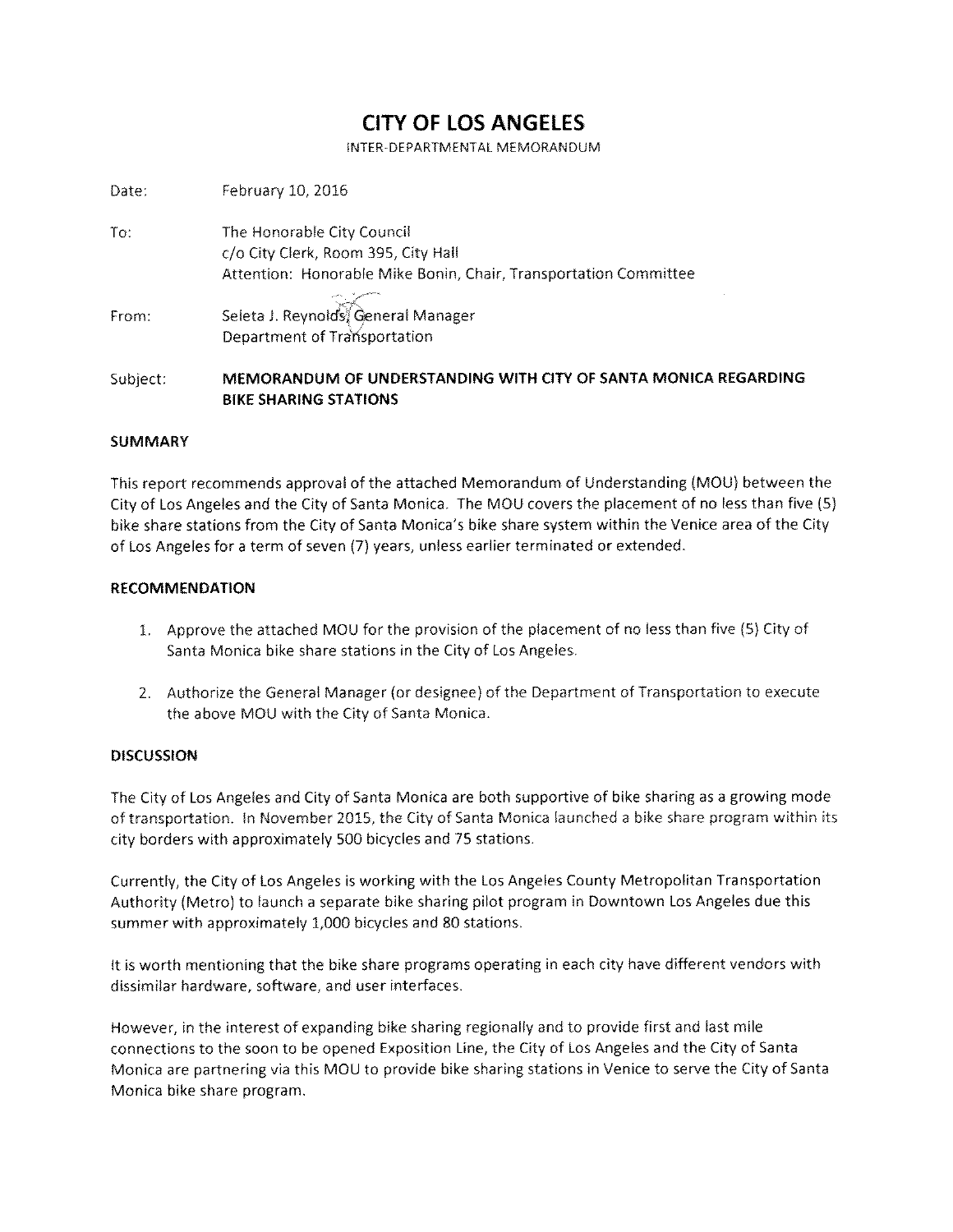# **CITY OF LOS ANGELES**

INTER-DEPARTMENTAL MEMORANDUM

| Date:          | February 10, 2016                                                                               |
|----------------|-------------------------------------------------------------------------------------------------|
| $\mathrm{Tor}$ | The Honorable City Council<br>c/o City Clerk, Room 395, City Hall                               |
|                | Attention: Honorable Mike Bonin, Chair, Transportation Committee                                |
| From:          | Seleta J. Reynolds, General Manager                                                             |
|                | Department of Transportation                                                                    |
| Subject:       | MEMORANDUM OF UNDERSTANDING WITH CITY OF SANTA MONICA REGARDING<br><b>BIKE SHARING STATIONS</b> |

#### **SUMMARY**

This report recommends approval of the attached Memorandum of Understanding (MOU) between the City of Los Angeles and the City of Santa Monica. The MOU covers the placement of no less than five (5) bike share stations from the City of Santa Monica's bike share system within the Venice area of the City of Los Angeles for <sup>a</sup> term of seven (7) years, unless earlier terminated or extended.

#### **RECOMMENDATION**

- 1. Approve the attached MOU for the provision of the placement of no less than five (5) City of Santa Monica bike share stations in the City of Los Angeles.
- 2. Authorize the General Manager (or designee) of the Department of Transportation to execute the above MOU with the City of Santa Monica.

### **DISCUSSION**

The City of Los Angeles and City of Santa Monica are both supportive of bike sharing as a growing mode of transportation. In November 2015, the City of Santa Monica launched a bike share program within its city borders with approximately 500 bicycles and 75 stations.

Currently, the City of Los Angeles is working with the Los Angeles County Metropolitan Transportation Authority (Metro) to launch a separate bike sharing pilot program in Downtown Los Angeles due this summer with approximately 1,000 bicycles and 80 stations.

It is worth mentioning that the bike share programs operating in each city have different vendors with dissimilar hardware, software, and user interfaces.

However, in the interest of expanding bike sharing regionally and to provide first and last mile connections to the soon to be opened Exposition Line, the City of Los Angeles and the City of Santa Monica are partnering via this MOU to provide bike sharing stations in Venice to serve the City of Santa Monica bike share program.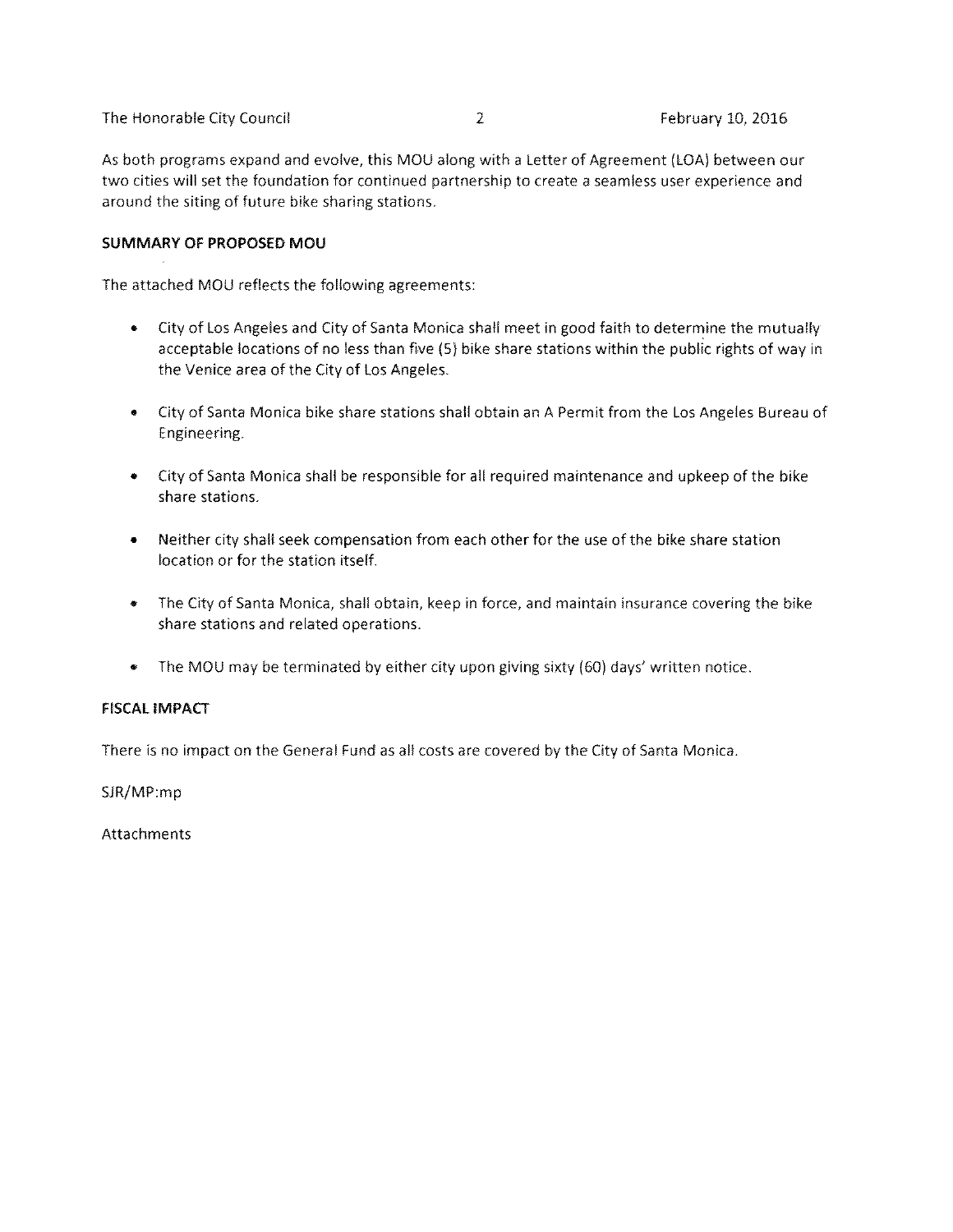The Honorable City Council 2 2 February 10, 2016

As both programs expand and evolve, this MOU along with <sup>a</sup> Letter of Agreement (LOA) between our two cities will set the foundation for continued partnership to create a seamless user experience and around the siting of future bike sharing stations.

#### **SUMMARY OF PROPOSED MOU**

The attached MOU reflects the following agreements:

- City of Los Angeles and City of Santa Monica shall meet in good faith to determine the mutually acceptable locations of no less than five (5) bike share stations within the public rights of way in the Venice area of the City of Los Angeles.
- City of Santa Monica bike share stations shall obtain an A Permit from the Los Angeles Bureau of Engineering.
- City of Santa Monica shall be responsible for all required maintenance and upkeep of the bike share stations.
- Neither city shall seek compensation from each other for the use of the bike share station location or for the station itself.
- The City of Santa Monica, shall obtain, keep in force, and maintain insurance covering the bike share stations and related operations.
- The MOU may be terminated by either city upon giving sixty (60) days' written notice.

#### **FISCAL IMPACT**

There is no impact on the General Fund as all costs are covered by the City of Santa Monica.

SJR/MP:mp

Attachments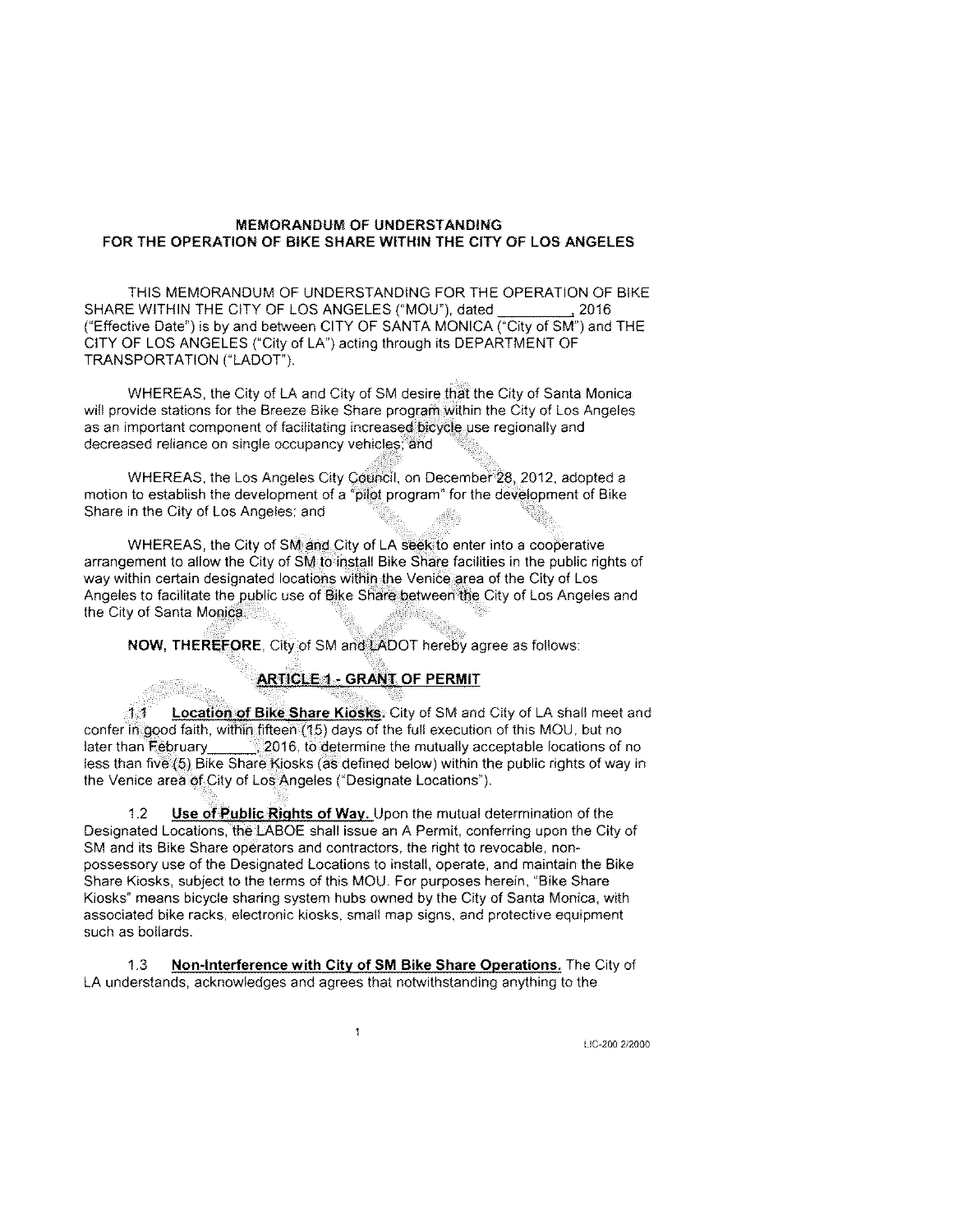#### **MEMORANDUM OF UNDERSTANDING FOR THE OPERATION OF BIKE SHARE WITHIN THE CITY OF LOS ANGELES**

THIS MEMORANDUM OF UNDERSTANDING FOR THE OPERATION OF BIKE SHARE WITHIN THE CITY OF LOS ANGELES {"MOU\*), dated ("Effective Date") is by and between CITY OF SANTA MONICA ("City of SM") and THE CITY OF LOS ANGELES {"City of LA") acting through its DEPARTMENT OF TRANSPORTATION ("LADOT"). 2016

WHEREAS, the City of LA and City of SM desire that the City of Santa Monica will provide stations for the Breeze Bike Share program within the City of Los Angeles as an important component of facilitating increased bicycle use regionally and decreased reliance on single occupancy vehicles; and

WHEREAS, the Los Angeles City Council, on December 28, 2012, adopted a motion to establish the development of a "pilot program" for the development of Bike Share in the City of Los Angeles: and

WHEREAS, the City of SM and City of LA seek to enter into a cooperative arrangement to allow the City of SM to install Bike Share facilities in the public rights of way within certain designated locations within the Venice area of the City of Los Angeles to facilitate the public use of Bike Share between the City of Los Angeles and the City of Santa Monica.

**NOW, THEREFORE,** City of SM and LADOT hereby agree as follows:

### **ARTICLE <sup>1</sup> GRANT OF PERMIT**

**Location of Bike Share Kiosks.** City of SM and City of LA shall meet and confer in good faith, within fifteen (15) days of the full execution of this MOU, but no later than February \_\_\_\_\_\_\_\_\_\_2016, to determine the mutually acceptable locations of no **1.1** less than five (5) Bike Share Kiosks (as defined below) within the public rights of way in the Venice area of City of Los Angeles ("Designate Locations"),

**Use of Public Rights of Way.** Upon the mutual determination of the Designated Locations, the LABOE shall issue an A Permit, conferring upon the City of SM and its Bike Share operators and contractors, the right to revocable, nonpossessory use of the Designated Locations to install, operate, and maintain the Bike Share Kiosks, subject to the terms of this MOU. For purposes herein, "Bike Share Kiosks" means bicycle sharing system hubs owned by the City of Santa Monica, with associated bike racks, electronic kiosks, small map signs, and protective equipment such as bollards. 1.2

**Non-Interference with City of SM Bike Share Operations.** The City of LA understands, acknowledges and agrees that notwithstanding anything to the 1.3

1

LlC-200 2/2000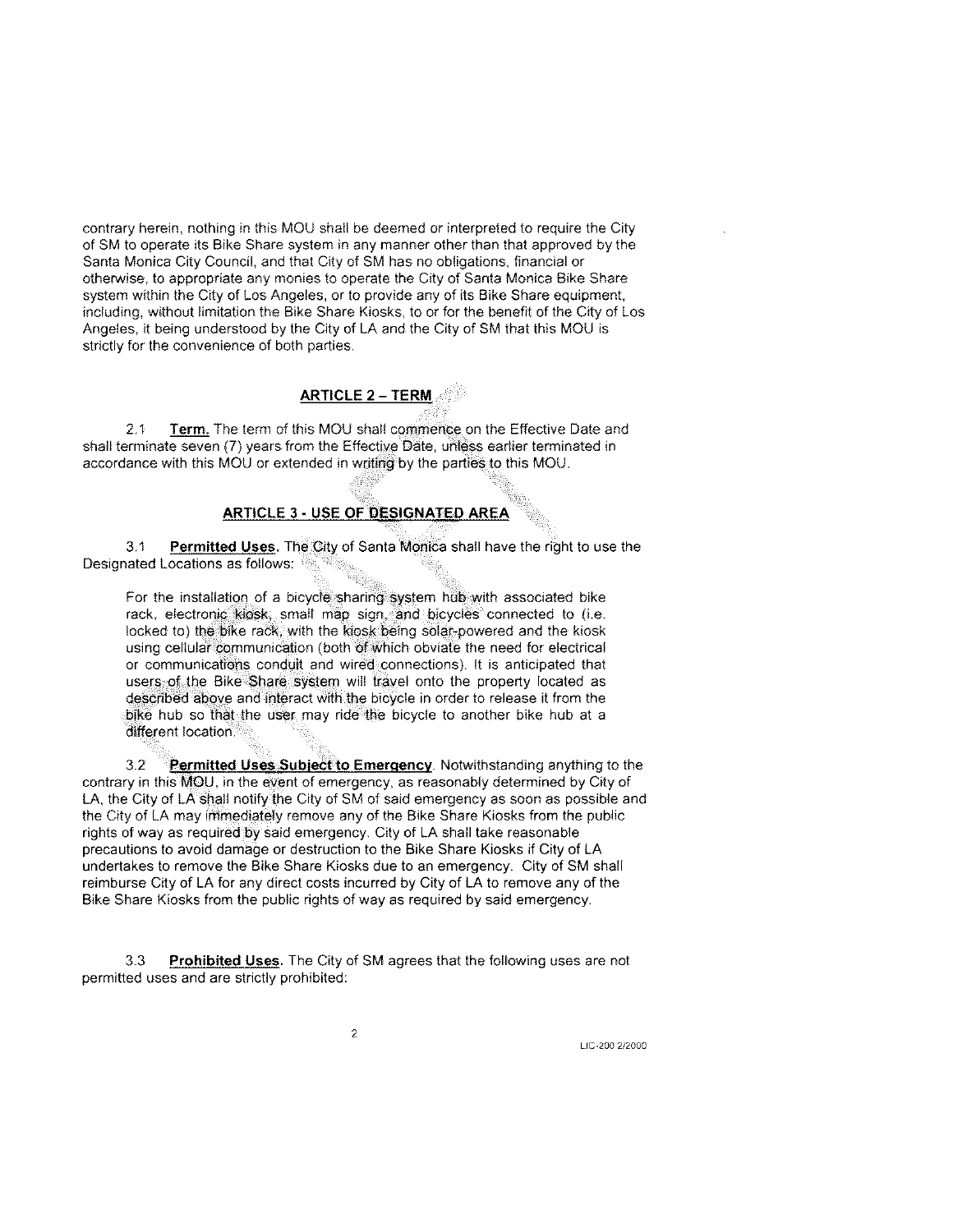contrary herein, nothing in this MOU shall be deemed or interpreted to require the City of SM to operate its Bike Share system in any manner other than that approved by the Santa Monica City Council, and that City of SM has no obligations, financial or otherwise, to appropriate any monies to operate the City of Santa Monica Bike Share system within the City of Los Angeles, or to provide any of its Bike Share equipment, including, without limitation the Bike Share Kiosks, to or for the benefit of the City of Los Angeles, it being understood by the City of LA and the City of SM that this MOU is strictly for the convenience of both parties.

#### **ARTICLE 2-TERM**

Term. The term of this MOU shall commence on the Effective Date and shall terminate seven (7) years from the Effective Date, unless earlier terminated in accordance with this MOU or extended in writing by the parties to this MOU. 2.1

#### **ARTICLE 3 - USE OF DESIGNATED AREA**

**Permitted Uses.** The City of Santa Monica shall have the right to use the Designated Locations as follows: 3.1

For the installation of a bicycle sharing system hub with associated bike rack, electronic kiosk, small map sign, and bicycles connected to (i.e. locked to) the bike rack, with the kiosk being solar-powered and the kiosk using cellular communication (both ofwhich obviate the need for electrical or communications conduit and wired connections). It is anticipated that users of the Bike Share system will travel onto the property located as described above and interact with the bicycle in order to release it from the bike hub so that the user may ride the bicycle to another bike hub at a different location.

**Permitted Uses Subject to Emergency,** Notwithstanding anything to the contrary in this MOU, in the event of emergency, as reasonably determined by City of LA, the City of LA shall notify the City of SM of said emergency as soon as possible and the City of LA may immediately remove any of the Bike Share Kiosks from the public rights of way as required by said emergency. City of LA shall take reasonable precautions to avoid damage or destruction to the Bike Share Kiosks if City of LA undertakes to remove the Bike Share Kiosks due to an emergency. City of SM shall reimburse City of LA for any direct costs incurred by City of LA to remove any of the Bike Share Kiosks from the public rights of way as required by said emergency. 3.2

**Prohibited Uses.** The City of SM agrees that the following uses are not permitted uses and are strictly prohibited: 3.3

2

LIC-200 2/2000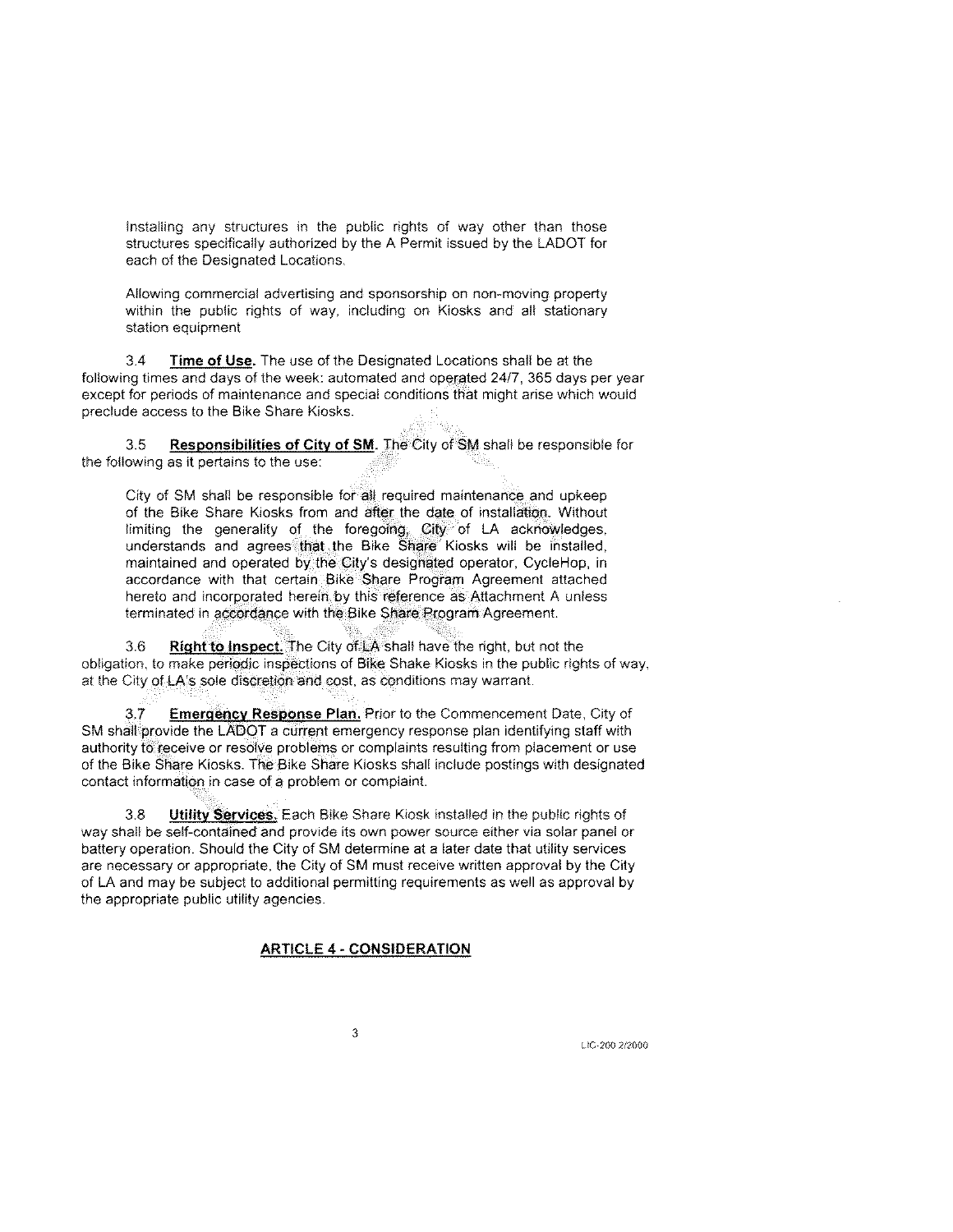Installing any structures in the public rights of way other than those structures specifically authorized by the A Permit issued by the LADOT for each of the Designated Locations.

Allowing commercial advertising and sponsorship on non-moving property within the public rights of way, including on Kiosks and all stationary station equipment

3.4 **Time of Use**. The use of the Designated Locations shall be at the following times and days of the week: automated and operated 24/7, 365 days per year except for periods of maintenance and special conditions that might arise which would preclude access to the Bike Share Kiosks.

**Responsibilities of City of SM.** The City of SM shall be responsible for the following as it pertains to the use: 3.5

City of SM shall be responsible for ail required maintenance and upkeep of the Bike Share Kiosks from and after the date of installation. Without limiting the generality of the foregoing, City of LA acknowledges, understands and agrees that the Bike Share Kiosks will be installed, maintained and operated by the City's designated operator, CycleHop, in accordance with that certain Bike Share Program Agreement attached hereto and incorporated herein by this reference as Attachment A unless terminated in accordance with the Bike Share Program Agreement.

**Right to inspect.** The City of LA shall have the right, but not the  $3.6$ obligation, to make periodic inspections of Bike Shake Kiosks in the public rights of way, at the City of LA's sole discretion and cost, as conditions may warrant.

**Emergency Response Plan.** Prior to the Commencement Date, City of SM shall provide the LADOT a current emergency response plan identifying staff with authority to receive or resolve problems or complaints resulting from placement or use of the Bike Share Kiosks. The Bike Share Kiosks shall include postings with designated contact information in case of a problem or complaint. 3,7

**Utility Services.** Each Bike Share Kiosk installed in the public rights of 3.8 way shall be self-contained and provide its own power source either via solar panel or battery operation. Should the City of SM determine at a later date that utility services are necessary or appropriate, the City of SM must receive written approval by the City of LA and may be subject to additional permitting requirements as well as approval by the appropriate public utility agencies.

#### **ARTICLE 4 - CONSIDERATION**

LIC-200 2/2000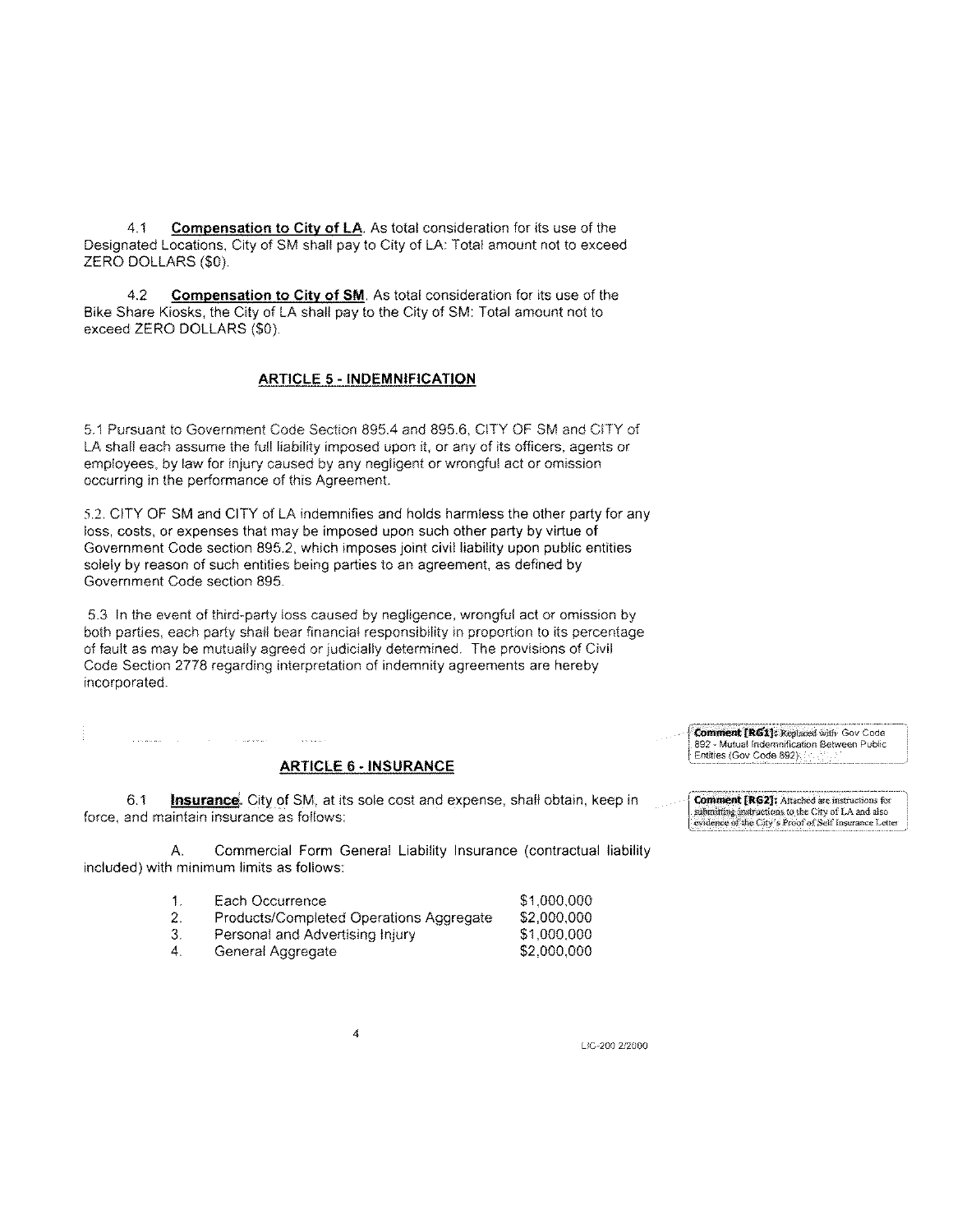**Compensation to City of LA.** As total consideration for its use of the Designated Locations, City of SM shall pay to City of LA: Total amount not to exceed ZERO DOLLARS (\$0). 4.1

**Compensation to City of SM.** As total consideration for its use of the Bike Share Kiosks, the City of LA shall pay to the City of SM: Total amount not to exceed ZERO DOLLARS (\$0). 4.2

#### **ARTICLE 5 - INDEMNIFICATION**

5.1 Pursuant to Government Code Section 895.4 and 895.6, CITY OF SM and CITY of LA shall each assume the full liability imposed upon it, or any of its officers, agents or employees, by law for injury caused by any negligent or wrongful act or omission occurring in the performance of this Agreement.

5.2. CITY OF SM and CITY of LA indemnifies and holds harmless the other party for any loss, costs, or expenses that may be imposed upon such other party by virtue of Government Code section 895.2, which imposes joint civil liability upon public entities solely by reason of such entities being parties to an agreement, as defined by Government Code section 895.

5.3 In the event of third-party loss caused by negligence, wrongful act or omission by both parties, each party shall bear financial responsibility in proportion to its percentage of fault as may be mutually agreed or judicially determined. The provisions of Civil Code Section 2778 regarding interpretation of indemnity agreements are hereby incorporated.

#### **ARTICLE 6 - INSURANCE**

المتفقف والرابل والمراجل

6.1 **Insurance.** City of SM, at its sole cost and expense, shall obtain, keep in **Comment [RG2]:** Attached are instructions for force, and maintain insurance as follows:

A. Commercial Form General Liability Insurance (contractual liability included) with minimum limits as follows:

| $\uparrow$ | Each Occurrence                         | \$1,000,000 |
|------------|-----------------------------------------|-------------|
| -2.        | Products/Completed Operations Aggregate | \$2,000.000 |
| -3.        | Personal and Advertising Injury         | \$1.000.000 |
| 4.         | General Aggregate                       | \$2,000,000 |

General Aggregate 4.

4

Comment [RG1]: Replaced with Gov Code 892 - Mutual Indemnification Between Public Entities (Gov Code 892)

submitting instructions to the City of LA and also evidence of the City's Proof of Self Insurance Letter

LiC-200 2/2000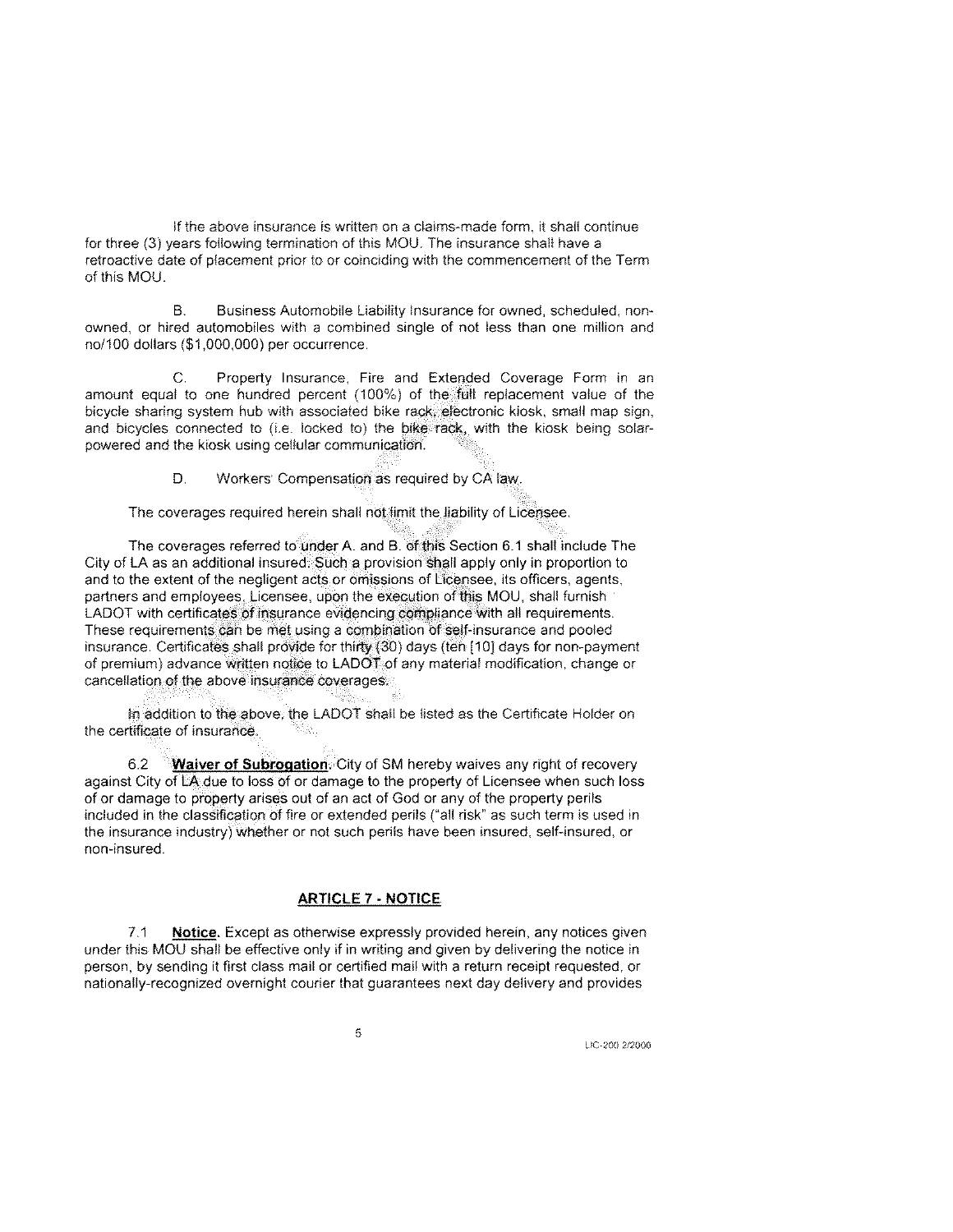If the above insurance is written on a claims-made form, it shall continue for three (3) years following termination of this MOU. The insurance shall have a retroactive date of placement prior to or coinciding with the commencement of the Term of this MOU.

B. Business Automobile Liability Insurance for owned, scheduled, nonowned, or hired automobiles with a combined single of not less than one million and no/100 dollars (\$1,000,000) per occurrence.

C. Property Insurance, Fire and Extended Coverage Form in an amount equal to one hundred percent (100%) of the full replacement value of the bicycle sharing system hub with associated bike rack, electronic kiosk, small map sign, and bicycles connected to (i.e. locked to) the bike rack, with the kiosk being solarpowered and the kiosk using cellular communication.

D. Workers' Compensation as required by CA law.

The coverages required herein shall not limit the liability of Licensee.

The coverages referred to under A. and B. of this Section 6.1 shall include The City of LA as an additional insured. Such a provision shall apply only in proportion to and to the extent of the negligent acts or omissions of Licensee, its officers, agents, partners and employees. Licensee, upon the execution ofthis MOU, shall furnish LADOT with certificates of insurance evidencing compliance with all requirements. These requirements can be met using a combination of self-insurance and pooled insurance. Certificates shall provide for thirty (30) days (ten [10] days for non-payment of premium) advance written notice to LADOT of any material modification, change or cancellation of the above insurance coverages.

In addition to the above, the LADOT shall be listed as the Certificate Holder on the certificate of insurance.

**Waiver of Subrogation.** City of SM hereby waives any right of recovery against City of LA due to loss of or damage to the property of Licensee when such loss of or damage to property arises out of an act of God or any of the property perils 6.2 included in the classification of fire or extended perils ("all risk" as such term is used in the insurance industry) whether or not such perils have been insured, self-insured, or non-insured.

#### **ARTICLE 7 - NOTICE**

 $71$ **Notice.** Except as otherwise expressly provided herein, any notices given under this MOU shall be effective only if in writing and given by delivering the notice in person, by sending it first class mail or certified mail with a return receipt requested, or nationally-recognized overnight courier that guarantees next day delivery and provides

5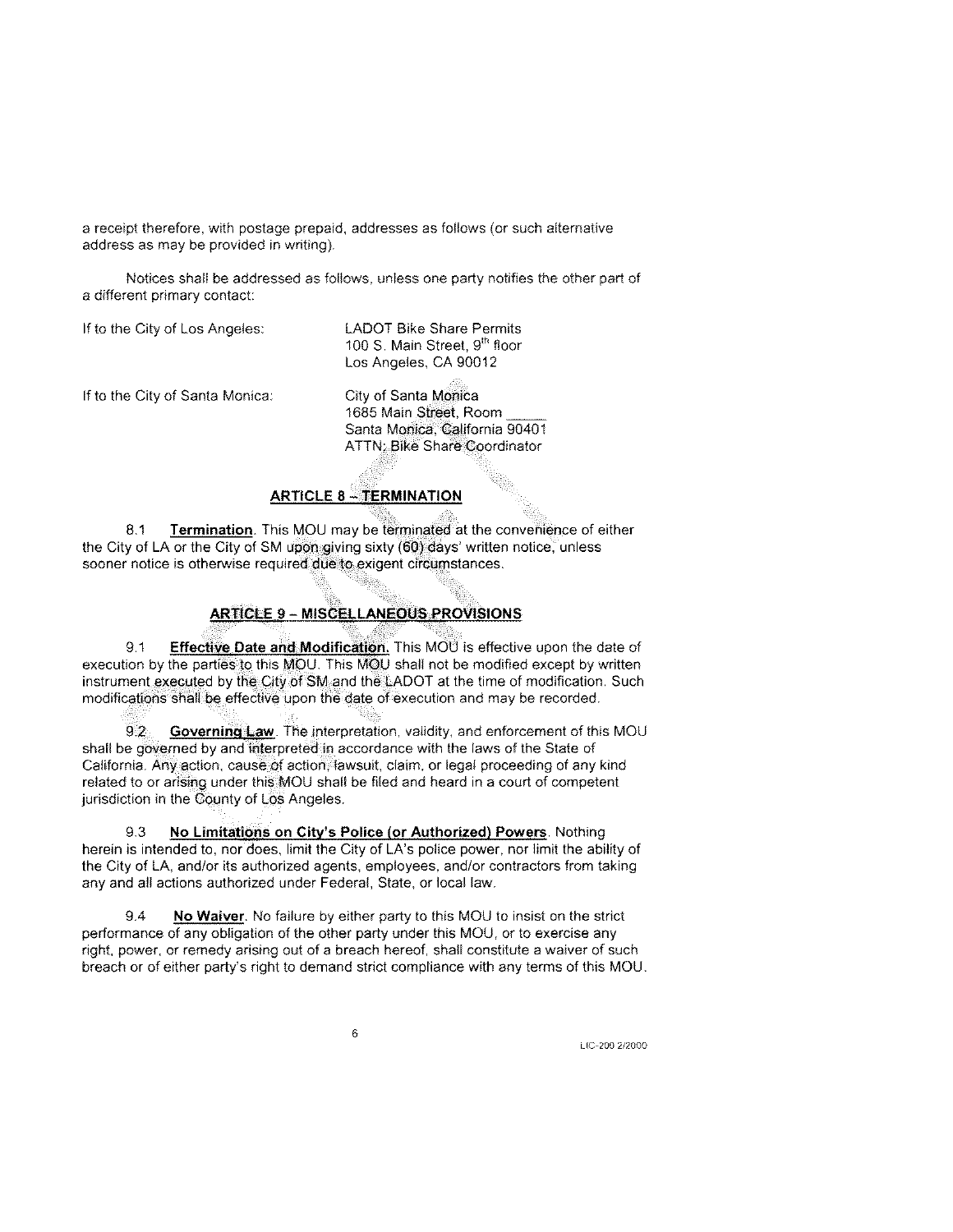a receipt therefore, with postage prepaid, addresses as follows {or such alternative address as may be provided in writing).

Notices shall be addressed as follows, unless one party notifies the other part of a different primary contact:

If to the City of Los Angeles: LADOT Bike Share Permits 100 S. Main Street, 9<sup>th</sup> floor Los Angeles, CA 90012

If to the City of Santa Monica: City of Santa Monica

1685 Main Street, Room\_\_\_\_\_ Santa Monica, California 90401 ATTN: Bike Share Coordinator

#### **ARTICLE 8 -TERMINATION**

**Termination.** This MOU may be terminated at the convenience of either the City of LA or the City of SM upon giving sixty (60) days' written notice, unless sooner notice is otherwise required due to exigent circumstances. 8.1

#### **ARTICLE 9 - MISCELLANEOUS PROVISIONS**

 $Q<sub>1</sub>$ **Effective Date and Modification.** This MOU is effective upon the date of execution by the parties to this MOU. This MOU shall not be modified except by written instrument executed by the City of SM and the LADOT at the time of modification. Such modifications shall be effective upon the date of execution and may be recorded.

**Governing Law.** The interpretation, validity, and enforcement of this MOU shall be governed by and interpreted in accordance with the laws of the State of California. Any action, cause of action, lawsuit, claim, or legal proceeding of any kind related to or arising under this MOU shall be filed and heard in a court of competent jurisdiction in the County of Los Angeles. 9.2

**No Limitations on City's Police for Authorized) Powers.** Nothing herein is intended to, nor does, limit the City of LA's police power, nor limit the ability of the City of LA, and/or its authorized agents, employees, and/or contractors from taking any and all actions authorized under Federal, State, or local law. 9.3

**No Waiver.** No failure by either party to this MOU to insist on the strict performance of any obligation of the other party under this MOU, or to exercise any right, power, or remedy arising out of a breach hereof, shall constitute a waiver of such breach or of either party's right to demand strict compliance with any terms of this MOU. 9,4

LIC-200 2/2000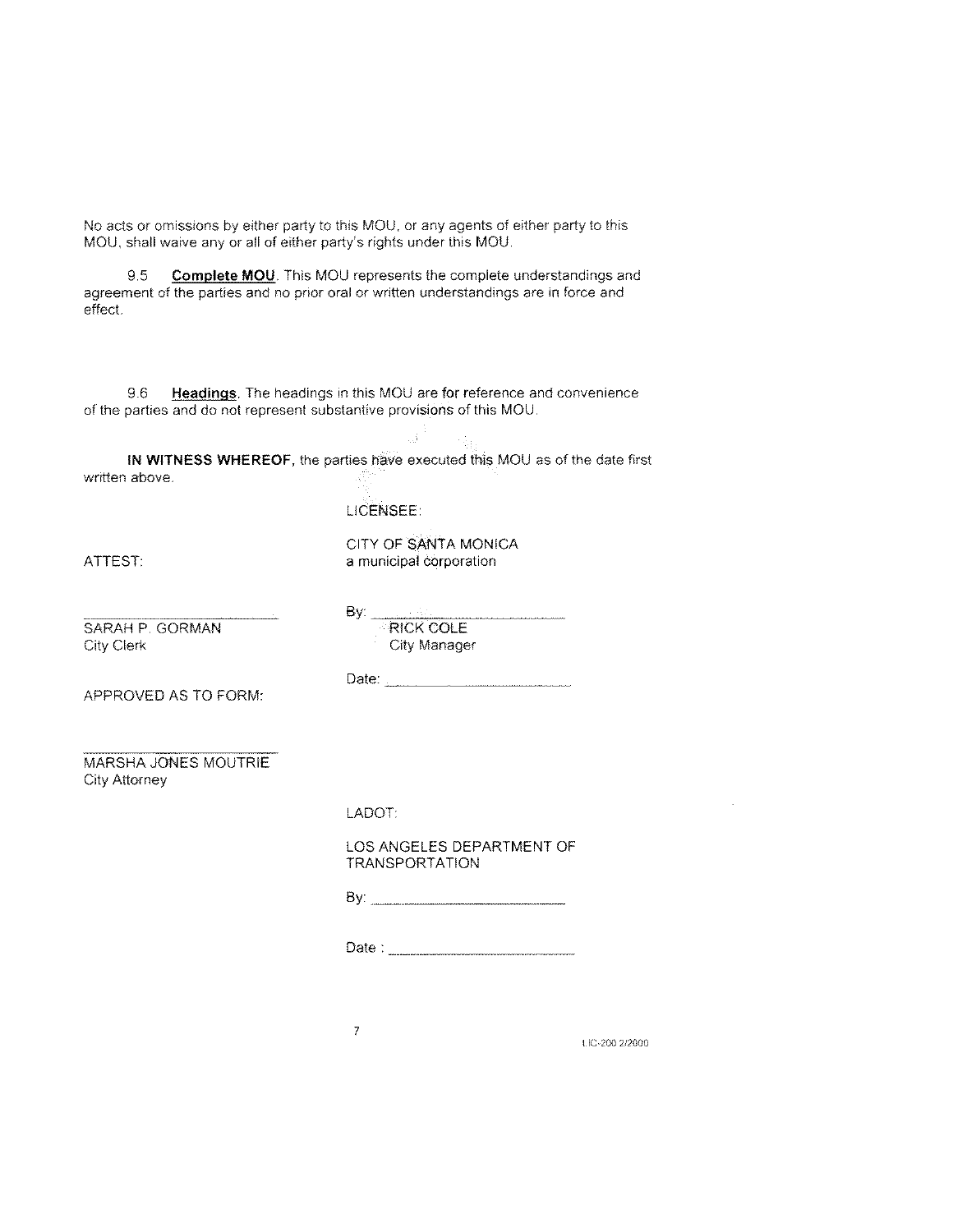No acts or omissions by either party to this MOU, or any agents of either party to this MOU, shall waive any or all of either party's rights under this MOU.

**Complete MOU.** This MOU represents the complete understandings and agreement of the parties and no prior oral or written understandings are in force and effect. 9.5

**Headings.** The headings in this MOU are for reference and convenience of the parties and do not represent substantive provisions of this MOU. 9.6

**IN WITNESS WHEREOF,** the parties have executed this MOU as of the date first written above.

LICENSEE:

CITY OF SANTA MONICA ATTEST: a municipal corporation

SARAH P. GORMAN City Clerk

By:  $\mathbb{Z}$ **RICK COLE** City Manager

Date:

APPROVED AS TO FORM:

MARSHA JONES MOUTRIE City Attorney

LADOT:

LOS ANGELES DEPARTMENT OF **TRANSPORTATION** 

By:

Date :

7

LIC-200 2/2000

 $\bar{z}$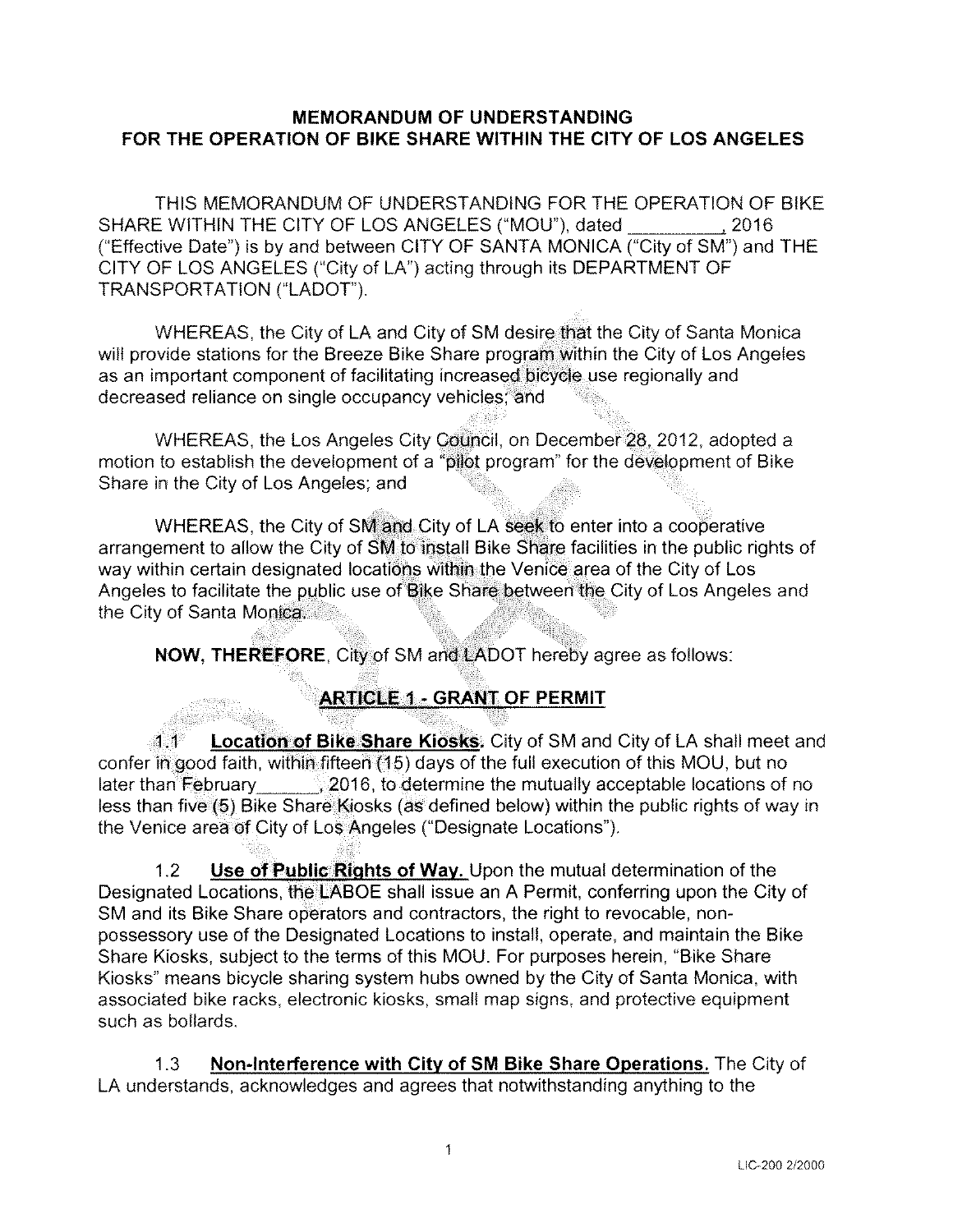## **MEMORANDUM OF UNDERSTANDING FOR THE OPERATION OF BIKE SHARE WITHIN THE CITY OF LOS ANGELES**

THIS MEMORANDUM OF UNDERSTANDING FOR THE OPERATION OF BIKE 2016 ("Effective Date") is by and between CITY OF SANTA MONICA ("City of SM") and THE CITY OF LOS ANGELES ("City of LA") acting through its DEPARTMENT OF TRANSPORTATION ("LADOT"). SHARE WITHIN THE CITY OF LOS ANGELES ("MOU"), dated

WHEREAS, the City of LA and City of SM desire that the City of Santa Monica will provide stations for the Breeze Bike Share program within the City of Los Angeles as an important component of facilitating increased bicycle use regionally and decreased reliance on single occupancy vehicles; and

WHEREAS, the Los Angeles City Council, on December 28, 2012, adopted a motion to establish the development of a "pilot program" for the development of Bike Share in the City of Los Angeles; and

WHEREAS, the City of SM and City of LA seek to enter into a cooperative arrangement to allow the City of SM to install Bike Share facilities in the public rights of way within certain designated locations within the Venice area of the City of Los Angeles to facilitate the public use of Bike Share between the City of Los Angeles and the City of Santa Monica.

**NOW, THEREFORE,** City of SM and LADOT hereby agree as follows:

## **ARTICLE <sup>1</sup> - GRANT OF PERMIT**

**Location of Bike Share Kiosks,** City of SM and City of LA shall meet and confer in good faith, within fifteen (15) days of the full execution of this MOU, but no later than February , 2016, to determine the mutually acceptable locations of no less than five (5) Bike Share Kiosks (as defined below) within the public rights of way in the Venice area of City of Los Angeles ("Designate Locations"). 1.1

**Use of Public Rights of Wav.** Upon the mutual determination of the Designated Locations, the LABOE shall issue an A Permit, conferring upon the City of SM and its Bike Share operators and contractors, the right to revocable, nonpossessory use of the Designated Locations to install, operate, and maintain the Bike Share Kiosks, subject to the terms of this MOU. For purposes herein, "Bike Share Kiosks" means bicycle sharing system hubs owned by the City of Santa Monica, with associated bike racks, electronic kiosks, smalt map signs, and protective equipment such as bollards. 1.2

**Non-Interference with City of SM Bike Share Operations.** The City of LA understands, acknowledges and agrees that notwithstanding anything to the 1.3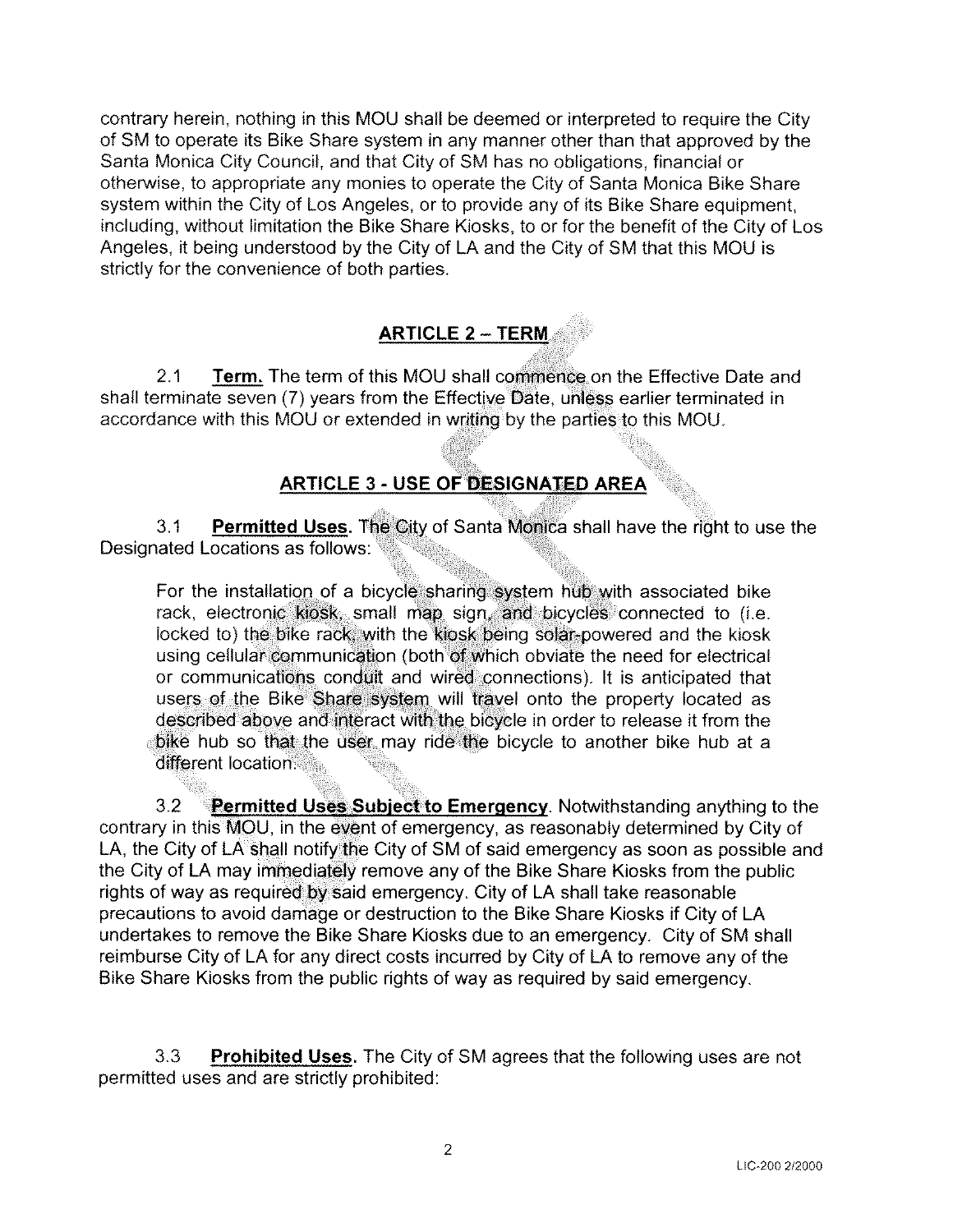contrary herein, nothing in this MOU shall be deemed or interpreted to require the City of SM to operate its Bike Share system in any manner other than that approved by the Santa Monica City Council, and that City of SM has no obligations, financial or otherwise, to appropriate any monies to operate the City of Santa Monica Bike Share system within the City of Los Angeles, or to provide any of its Bike Share equipment, including, without limitation the Bike Share Kiosks, to or for the benefit of the City of Los Angeles, it being understood by the City of LA and the City of SM that this MOU is strictly for the convenience of both parties.

## **ARTICLE <sup>2</sup> - TERM**

**Term.** The term of this MOU shall commence on the Effective Date and shall terminate seven (7) years from the Effective Date, unless earlier terminated in accordance with this MOU or extended in writing by the parties to this MOU. 2.1

## **ARTICLE 3 - USE OF DESIGNATED AREA**

**Permitted Uses.** The City of Santa Monica shall have the right to use the Designated Locations as follows: 3.1

For the installation of a bicycle sharing system hub with associated bike rack, electronic kiosk, small map sign, and bicycles connected to (i.e. locked to) the bike rack, with the kiosk being solar-powered and the kiosk using cellular communication (both of which obviate the need for electrical or communications conduit and wired connections). It is anticipated that users of the Bike Share system will travel onto the property located as described above and interact with the bicycle in order to release it from the bike hub so that the user may ride the bicycle to another bike hub at a different location.

**Permitted Uses Subject to Emergency.** Notwithstanding anything to the contrary in this MOU, in the event of emergency, as reasonably determined by City of LA, the City of LA shall notify the City of SM of said emergency as soon as possible and the City of LA may immediately remove any of the Bike Share Kiosks from the public rights of way as required by said emergency. City of LA shall take reasonable precautions to avoid damage or destruction to the Bike Share Kiosks if City of LA undertakes to remove the Bike Share Kiosks due to an emergency. City of SM shall reimburse City of LA for any direct costs incurred by City of LA to remove any of the Bike Share Kiosks from the public rights of way as required by said emergency. 3.2

**Prohibited Uses.** The City of SM agrees that the following uses are not permitted uses and are strictly prohibited: 3.3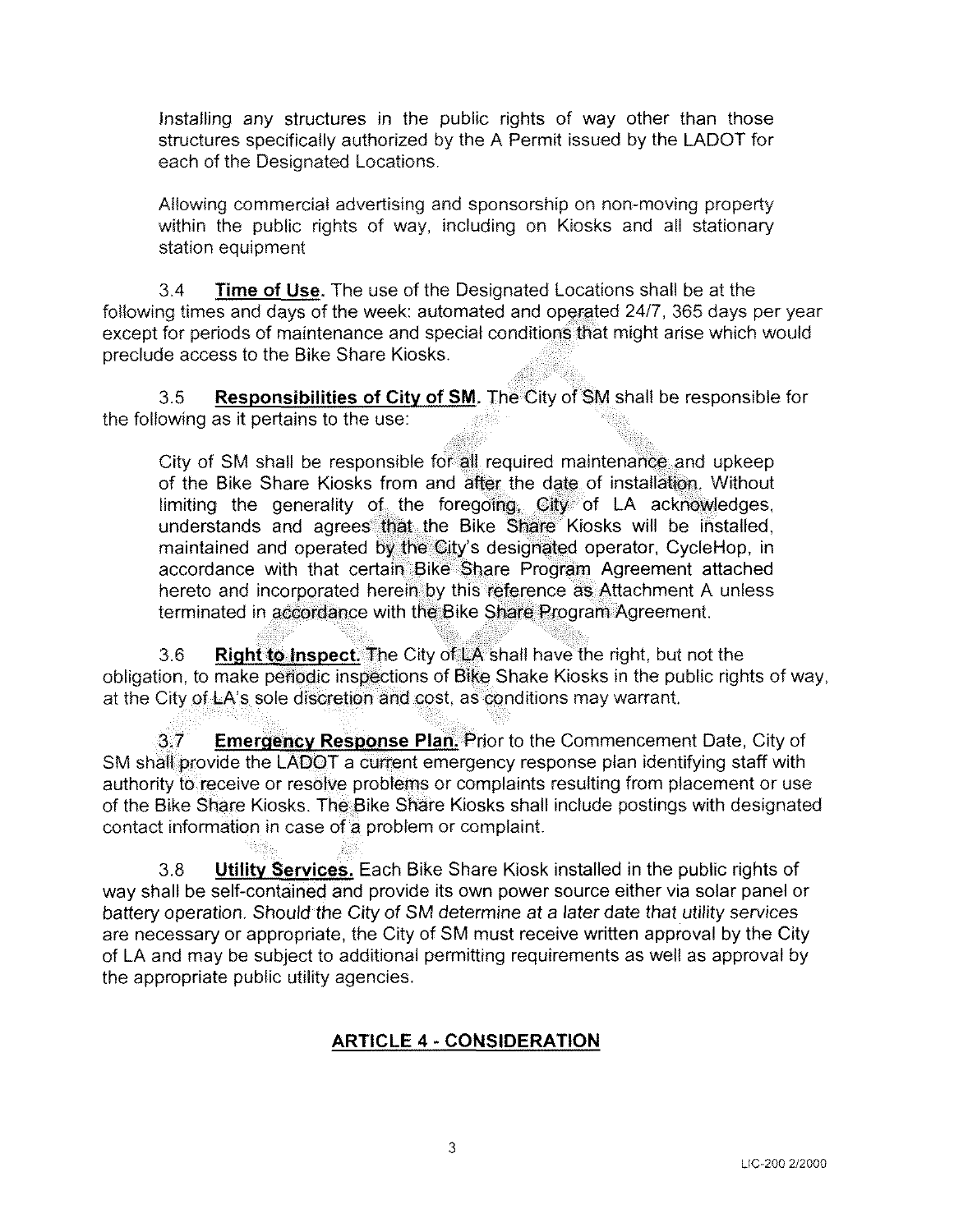Installing any structures in the public rights of way other than those structures specifically authorized by the A Permit issued by the LADOT for each of the Designated Locations.

Allowing commercial advertising and sponsorship on non-moving property within the public rights of way, including on Kiosks and all stationary station equipment

**Time of Use.** The use of the Designated Locations shall be at the following times and days of the week: automated and operated 24/7, 365 days per year except for periods of maintenance and special conditions that might arise which would preclude access to the Bike Share Kiosks. 3.4

3.5 **Responsibilities of City of SM.** The City of SM shall be responsible for the following as it pertains to the use: **RANGE SE** 

City of SM shall be responsible for all required maintenance and upkeep of the Bike Share Kiosks from and after the date of installation. Without limiting the generality of the foregoing,  $City$  of LA acknowledges, understands and agrees that the Bike Share Kiosks will be installed, maintained and operated by the City's designated operator, CycleHop, in accordance with that certain Bike Share Program Agreement attached hereto and incorporated herein by this reference as Attachment A unless terminated in accordance with the Bike Share Program Agreement.

**Right to inspect.** The City of LA shall have the right, but not the obligation, to make periodic inspections of Bike Shake Kiosks in the public rights of way, at the City of LA's sole discretion and cost, as conditions may warrant. 3.6

**Emergency Response Plan.** Prior to the Commencement Date, City of SM shall provide the LADOT a current emergency response plan identifying staff with authority to receive or resolve problems or complaints resulting from placement or use of the Bike Share Kiosks. The Bike Share Kiosks shall include postings with designated contact information in case of a problem or complaint. 3.7

**Utility Services.** Each Bike Share Kiosk installed in the public rights of way shall be self-contained and provide its own power source either via solar panel or battery operation. Should the City of SM determine at a later date that utility services are necessary or appropriate, the City of SM must receive written approval by the City of LA and may be subject to additional permitting requirements as well as approval by the appropriate public utility agencies. 3.8

## **ARTICLE 4 - CONSIDERATION**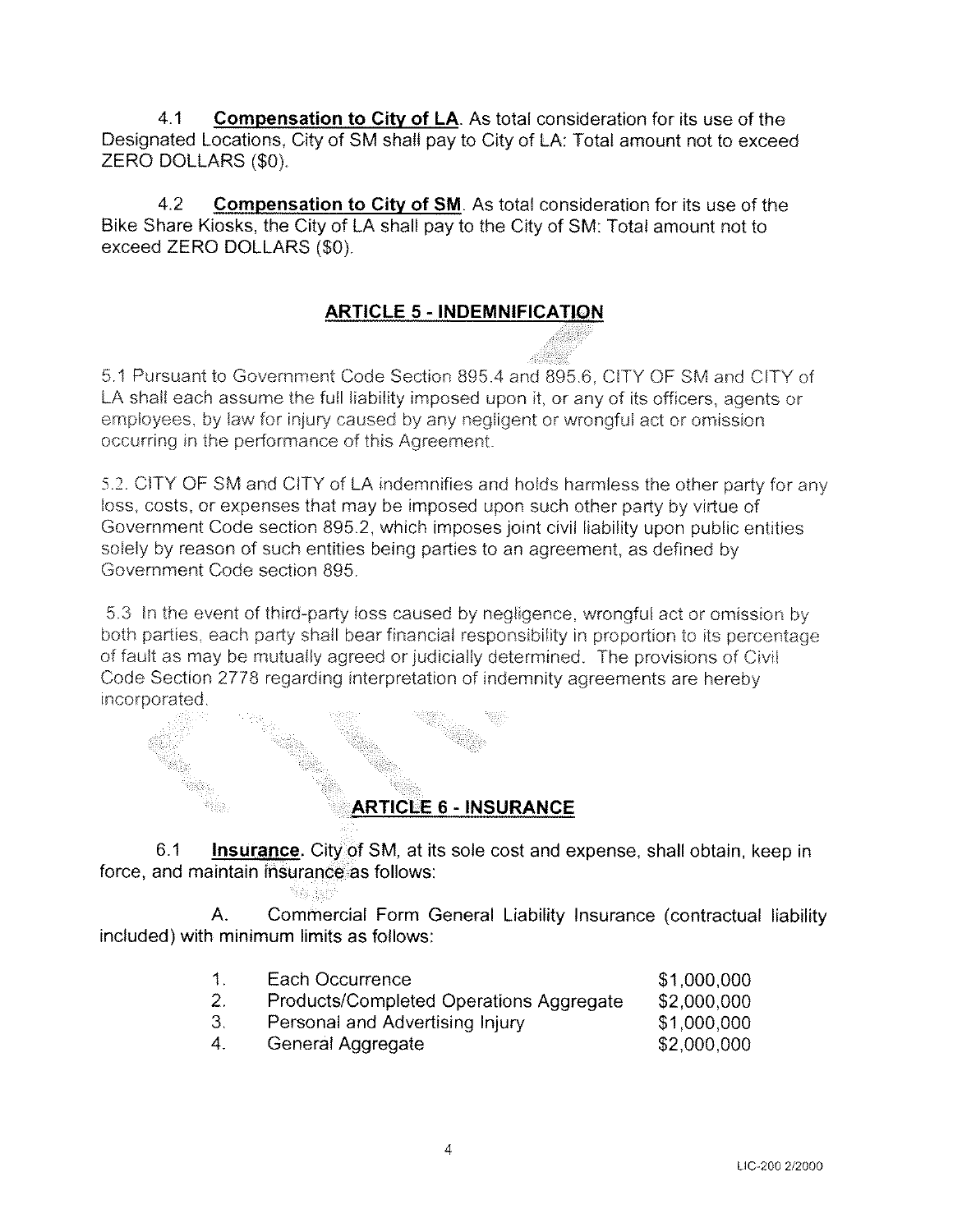**Compensation to City of LA.** As total consideration for its use of the Designated Locations, City of SM shall pay to City of LA: Total amount not to exceed ZERO DOLLARS (\$0). 4.1

**Compensation to City of SM.** As total consideration for its use of the Bike Share Kiosks, the City of LA shall pay to the City of SM: Total amount not to exceed ZERO DOLLARS (SO). 4.2

## **ARTICLE 5 - INDEMNIFICATION**

5.1 Pursuant to Government Code Section 895.4 and 895.6, CITY OF SM and CITY of LA shall each assume the full liability imposed upon it, or any of its officers, agents or employees, by law for injury caused by any negligent or wrongful act or omission occurring in the performance of this Agreement.

5.2. CITY OF SM and CITY of LA indemnifies and holds harmless the other party for any loss, costs, or expenses that may be imposed upon such other party by virtue of Government Code section 895.2, which imposes joint civil liability upon public entities solely by reason of such entities being parties to an agreement, as defined by Government Code section 895.

5.3 In the event of third-party loss caused by negligence, wrongful act or omission by both parties, each party shall bear financial responsibility in proportion to its percentage of fault as may be mutually agreed or judicially determined. The provisions of Civil Code Section 2778 regarding interpretation of indemnity agreements are hereby incorporated.

**ARTICLE 6 - INSURANCE**

fika Pa

**Insurance.** City of SM, at its sole cost and expense, shall obtain, keep in force, and maintain insurance as follows: 6.1

A. Commercial Form General Liability Insurance (contractual liability included) with minimum limits as follows:

| $\mathbf{1}$ | Each Occurrence                         | \$1,000,000 |
|--------------|-----------------------------------------|-------------|
| -2.          | Products/Completed Operations Aggregate | \$2,000,000 |
| -3.          | Personal and Advertising Injury         | \$1,000,000 |
| 4            | General Aggregate                       | \$2,000,000 |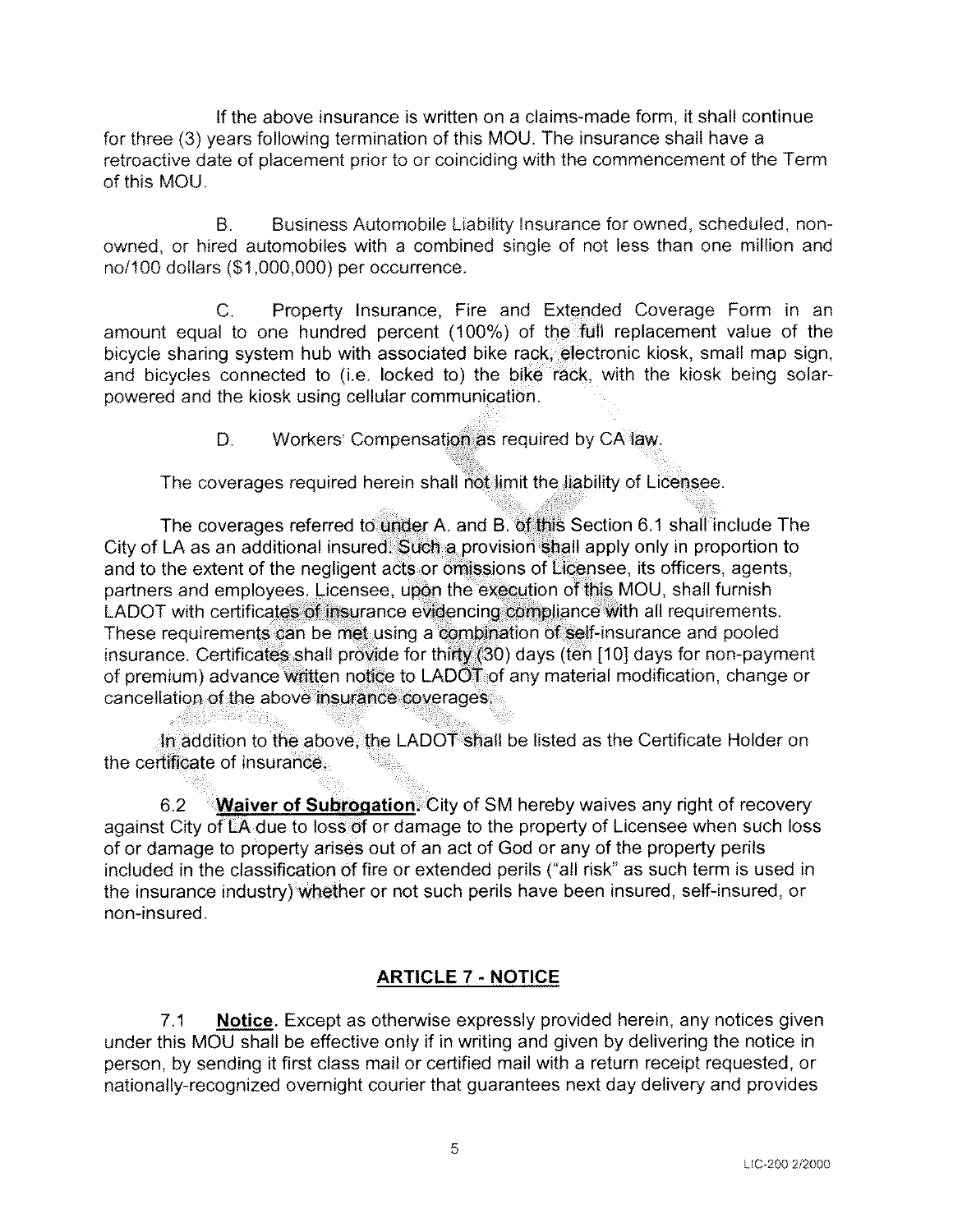If the above insurance is written on a ciaims-made form, it shall continue for three (3) years following termination of this MOU. The insurance shall have a retroactive date of placement prior to or coinciding with the commencement of the Term of this MOU.

Business Automobile Liability Insurance for owned, scheduled, nonowned, or hired automobiles with a combined single of not less than one million and no/100 dollars (\$1,000,000) per occurrence. B.

Property Insurance, Fire and Extended Coverage Form in an amount equal to one hundred percent (100%) of the full replacement value of the bicycle sharing system hub with associated bike rack, electronic kiosk, small map sign, and bicycles connected to (i.e. locked to) the bike rack, with the kiosk being solarpowered and the kiosk using cellular communication. C.

D. Workers' Compensation as required by CA law.

The coverages required herein shall not limit the liability of Licensee.

The coverages referred to under A. and B. of this Section 6.1 shall include The City of LA as an additional insured. Such a provision shall apply only in proportion to and to the extent of the negligent acts or omissions of Licensee, its officers, agents, partners and employees. Licensee, upon the execution of this MOU, shall furnish LADOT with certificates of insurance evidencing compliance with all requirements. These requirements can be met using a combination of self-insurance and pooled insurance. Certificates shall provide for thirty (30) days (ten [10] days for non-payment of premium) advance written notice to LADOT of any material modification, change or cancellation of the above insurance coverages.

In addition to the above, the LADOT shall be listed as the Certificate Holder on the certificate of insurance.

**Waiver of Subrogation.** City of SM hereby waives any right of recovery against City of LA due to loss of or damage to the property of Licensee when such loss of or damage to property arises out of an act of God or any of the property perils included in the classification of fire or extended perils ("all risk" as such term is used in the insurance industry) whether or not such perils have been insured, self-insured, or non-insured. 6.2

## **ARTICLE 7 - NOTICE**

**Notice.** Except as otherwise expressly provided herein, any notices given under this MOU shall be effective only if in writing and given by delivering the notice in person, by sending it first class mail or certified mail with a return receipt requested, or nationally-recognized overnight courier that guarantees next day delivery and provides 7.1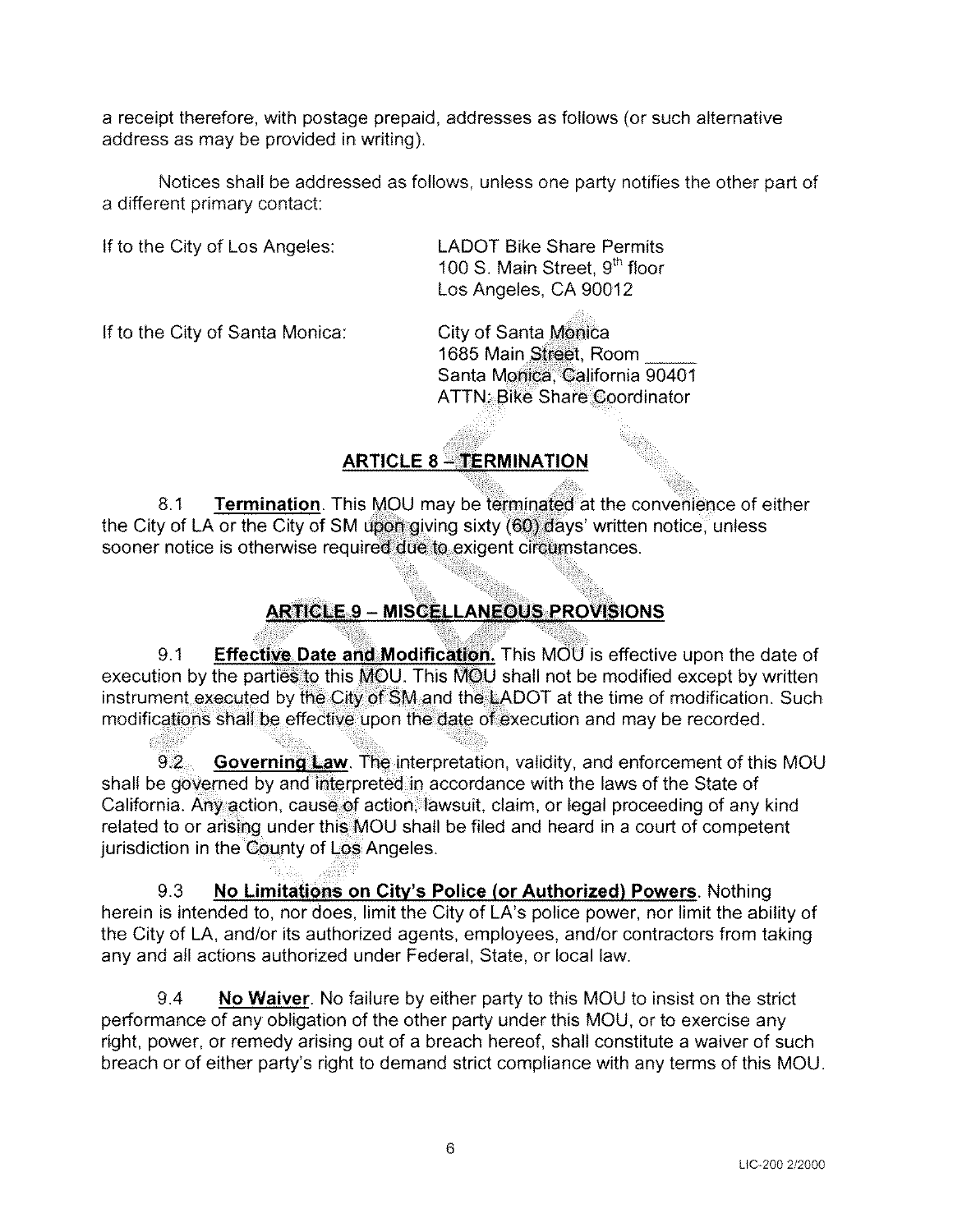a receipt therefore, with postage prepaid, addresses as foiiows (or such alternative address as may be provided in writing).

Notices shall be addressed as follows, unless one party notifies the other part of a different primary contact:

If to the City of Los Angeles:

LADOT Bike Share Permits 100 S. Main Street,  $9<sup>th</sup>$  floor Los Angeles, CA 90012

If to the City of Santa Monica: City of Santa Monica

1685 Main Street, Room\_\_\_\_\_ Santa Monica. California 90401 ATTN; Bike Share Coordinator

# **ARTICLE <sup>8</sup> - TERMINATION**

 $8.1$ **Termination.** This MOU may be terminated at the convenience of either the City of LA or the City of SM upon giving sixty (80) days' written notice, unless sooner notice is otherwise required due to exigent circumstances.

# **ARTICLE <sup>9</sup> - MISCELLANEOUS PROVISIONS**

**Effective Date and Modification.** This MOU is effective upon the date of execution by the parties to this MOU. This MOU shall not be modified except by written instrument executed by the City of SM and the LADOT at the time of modification. Such modifications shall be effective upon the date of execution and may be recorded. 9.1

**Governing Law.** The interpretation, validity, and enforcement of this MOU shall be governed by and interpreted in accordance with the laws of the State of California. Any action, cause of action, lawsuit, claim, or legal proceeding of any kind related to or arising under this MOU shall be filed and heard in a court of competent jurisdiction in the County of Los Angeles. 9.2

**No Limitations on City's Police (or Authorized) Powers.** Nothing herein is intended to, nor does, limit the City of LA's police power, nor limit the ability of the City of LA, and/or its authorized agents, employees, and/or contractors from taking any and all actions authorized under Federal, State, or local law. 9.3

**No Waiver.** No failure by either party to this MOU to insist on the strict performance of any obligation of the other party under this MOU, or to exercise any right, power, or remedy arising out of a breach hereof, shall constitute a waiver of such breach or of either party's right to demand strict compliance with any terms of this MOU. 9.4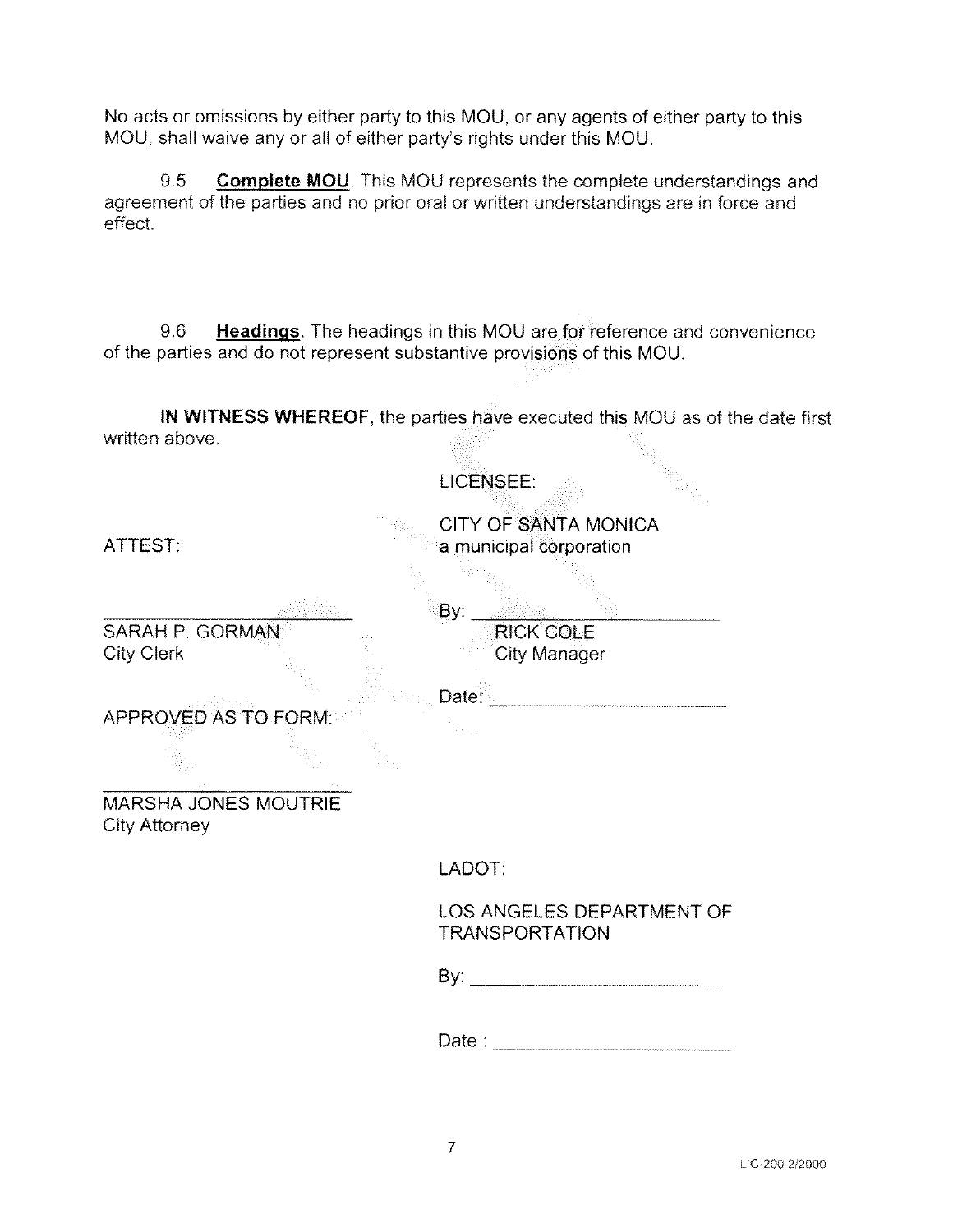No acts or omissions by either party to this MOU, or any agents of either party to this MOU, shall waive any or all of either party's rights under this MOU.

**Complete MOU.** This MOU represents the complete understandings and agreement of the parties and no prior oral or written understandings are in force and effect. 9.5

**Headings.** The headings in this MOU are for reference and convenience of the parties and do not represent substantive provisions of this MOU. 9.6

**IN WITNESS WHEREOF,** the parties have executed this MOU as of the date first written above. s.<br>Priz

|                                              | LICENSEE:                                              |  |
|----------------------------------------------|--------------------------------------------------------|--|
| ATTEST:                                      | CITY OF SANTA MONICA<br>a municipal corporation<br>By: |  |
| SARAH P. GORMAN<br><b>City Clerk</b>         | <b>RICK COLE</b><br><b>City Manager</b>                |  |
| APPROVED AS TO FORM:                         | Date:                                                  |  |
|                                              |                                                        |  |
| MARSHA JONES MOUTRIE<br><b>City Attorney</b> |                                                        |  |
|                                              | LADOT:                                                 |  |
|                                              | LOS ANGELES DEPARTMENT OF<br><b>TRANSPORTATION</b>     |  |
|                                              |                                                        |  |
|                                              | Date:                                                  |  |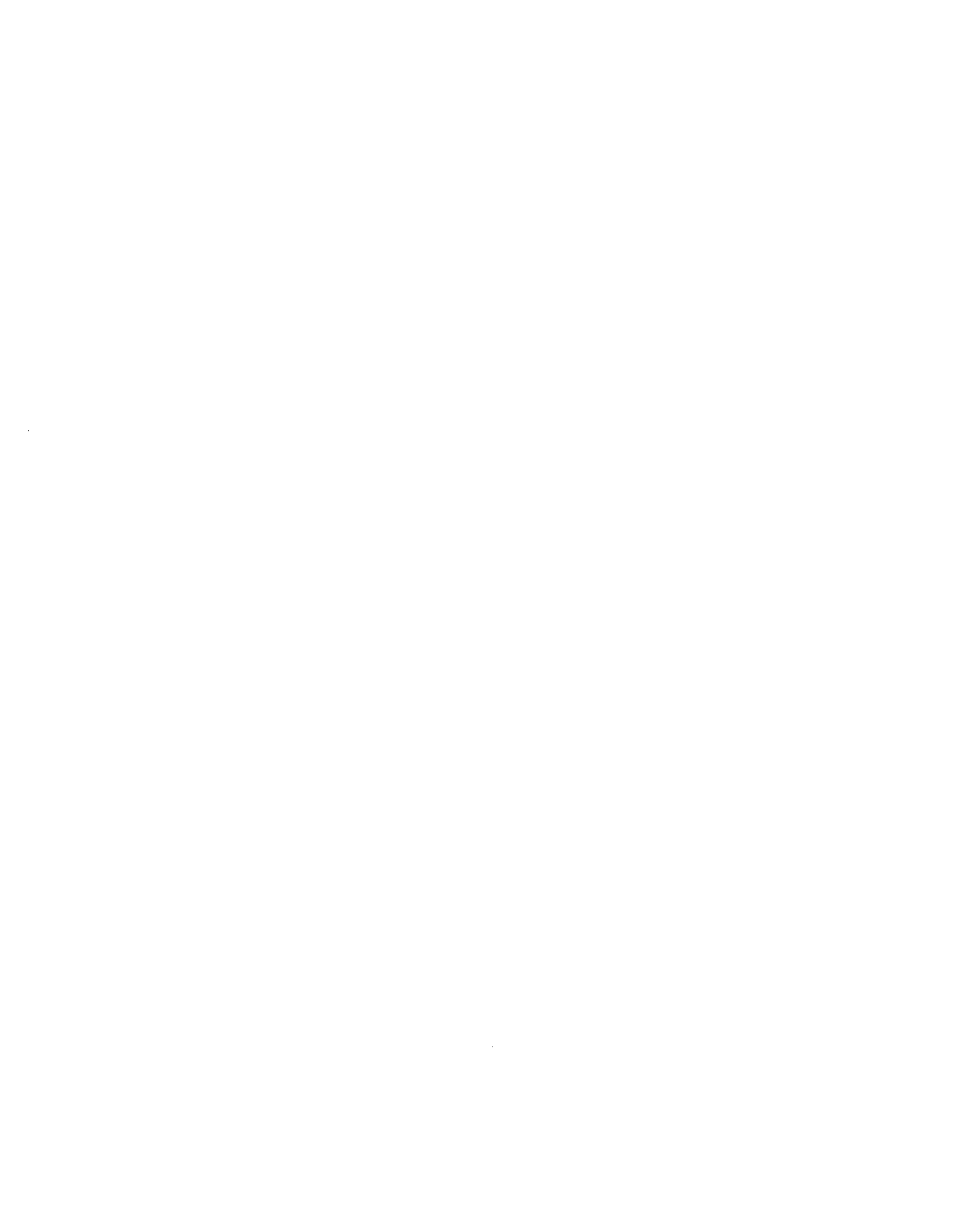$\label{eq:2.1} \frac{1}{\sqrt{2}}\sum_{i=1}^n\frac{1}{\sqrt{2}}\sum_{i=1}^n\frac{1}{\sqrt{2}}\sum_{i=1}^n\frac{1}{\sqrt{2}}\sum_{i=1}^n\frac{1}{\sqrt{2}}\sum_{i=1}^n\frac{1}{\sqrt{2}}\sum_{i=1}^n\frac{1}{\sqrt{2}}\sum_{i=1}^n\frac{1}{\sqrt{2}}\sum_{i=1}^n\frac{1}{\sqrt{2}}\sum_{i=1}^n\frac{1}{\sqrt{2}}\sum_{i=1}^n\frac{1}{\sqrt{2}}\sum_{i=1}^n\frac$  $\label{eq:2.1} \frac{1}{\sqrt{2}}\int_{0}^{\infty}\frac{1}{\sqrt{2\pi}}\left(\frac{1}{\sqrt{2\pi}}\right)^{2\alpha} \frac{1}{\sqrt{2\pi}}\int_{0}^{\infty}\frac{1}{\sqrt{2\pi}}\left(\frac{1}{\sqrt{2\pi}}\right)^{\alpha} \frac{1}{\sqrt{2\pi}}\frac{1}{\sqrt{2\pi}}\int_{0}^{\infty}\frac{1}{\sqrt{2\pi}}\frac{1}{\sqrt{2\pi}}\frac{1}{\sqrt{2\pi}}\frac{1}{\sqrt{2\pi}}\frac{1}{\sqrt{2\pi}}\frac{1}{\sqrt{2\pi}}$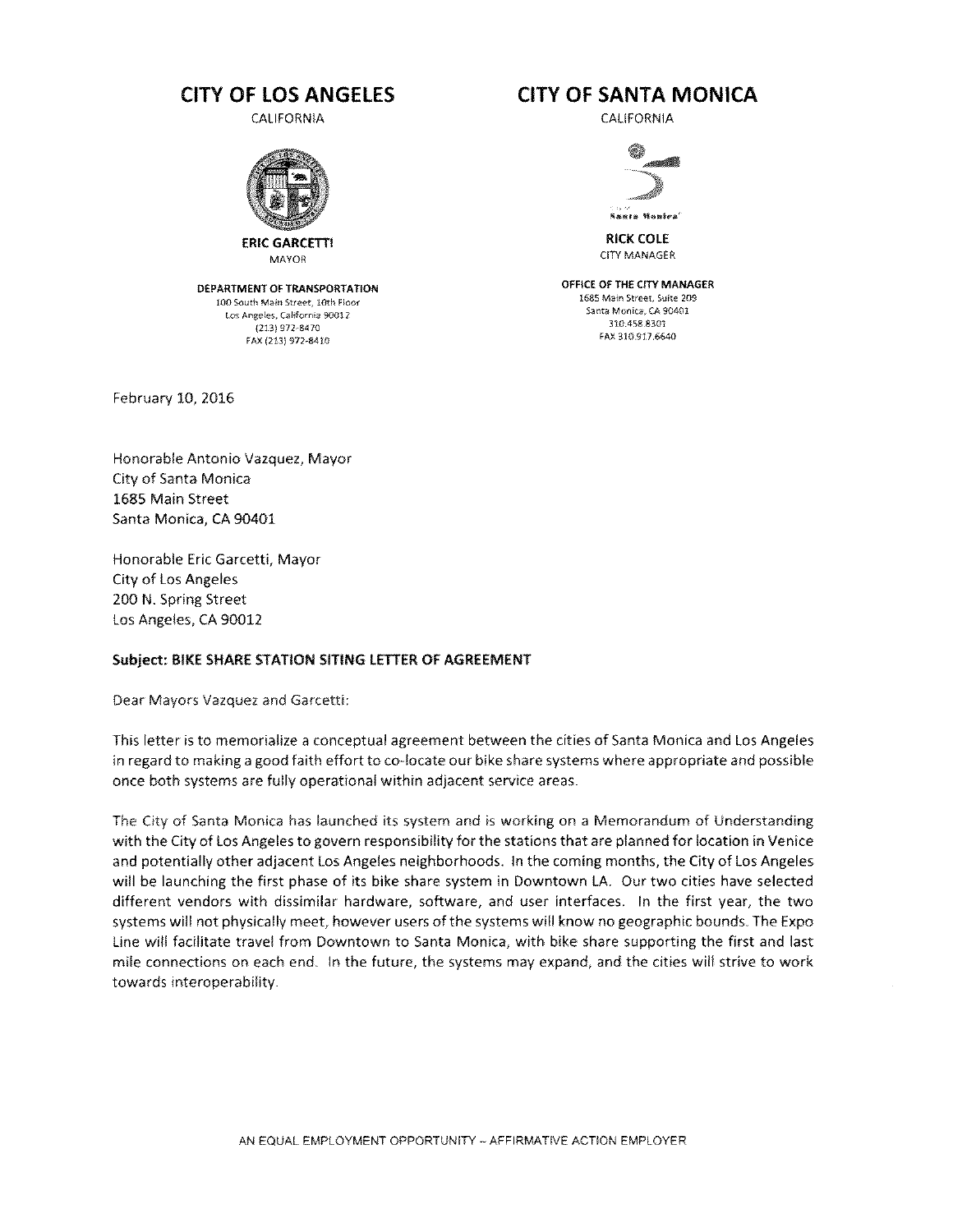

**ERIC GARCETTI** MAYOR

DEPARTMENT OF TRANSPORTATION 100 South Main Street, 10th Floor

> Los Angeles, California 90012 (213) 972-8470 FAX (213) 972-8410

## **CITY OF LOS ANGELES CITY OF SANTA MONICA**

CALIFORNIA CALIFORNIA



**RICK COLE** CITY MANAGER

OFFICE OF THE CITY MANAGER

1685 Main Street, Suite 209 Santa Monica, CA 90401 310.458.8301 FAX 310.917.6640

February 10, 2016

Honorable Antonio Vazquez, Mayor City of Santa Monica 1685 Main Street Santa Monica, CA 90401

Honorable Eric Garcetti, Mayor City of Los Angeles 200 N. Spring Street Los Angeles, CA 90012

#### **Subject: BIKE SHARE STATION SITING LETTER OF AGREEMENT**

Dear Mayors Vazquez and Garcetti:

This letter is to memorialize a conceptual agreement between the cities of Santa Monica and Los Angeies in regard to making a good faith effort to co-locate our bike share systems where appropriate and possible once both systems are fully operational within adjacent service areas.

The City of Santa Monica has launched its system and is working on a Memorandum of Understanding with the City of Los Angeles to govern responsibility for the stations that are planned for location in Venice and potentially other adjacent Los Angeles neighborhoods. In the coming months, the City of Los Angeles will be launching the first phase of its bike share system in Downtown LA. Our two cities have selected different vendors with dissimilar hardware, software, and user interfaces. In the first year, the two systems will not physically meet, however users of the systems will know no geographic bounds. The Expo Line will facilitate travel from Downtown to Santa Monica, with bike share supporting the first and last mile connections on each end. In the future, the systems may expand, and the cities will strive to work towards interoperability.